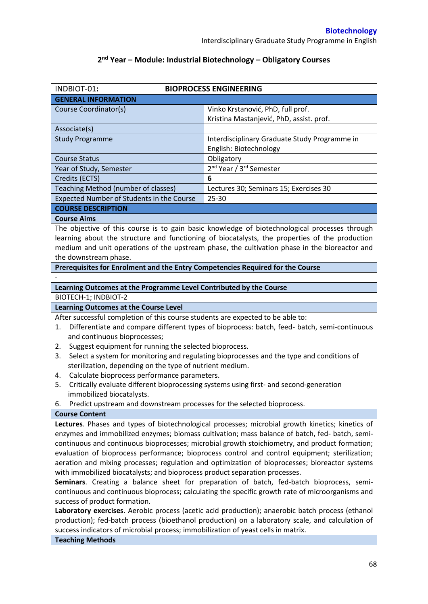# **2 nd Year – Module: Industrial Biotechnology – Obligatory Courses**

| INDBIOT-01:                                                                                                                  | <b>BIOPROCESS ENGINEERING</b>                                                                  |  |  |  |  |
|------------------------------------------------------------------------------------------------------------------------------|------------------------------------------------------------------------------------------------|--|--|--|--|
| <b>GENERAL INFORMATION</b>                                                                                                   |                                                                                                |  |  |  |  |
| Course Coordinator(s)                                                                                                        | Vinko Krstanović, PhD, full prof.                                                              |  |  |  |  |
|                                                                                                                              | Kristina Mastanjević, PhD, assist. prof.                                                       |  |  |  |  |
| Associate(s)                                                                                                                 |                                                                                                |  |  |  |  |
| <b>Study Programme</b>                                                                                                       | Interdisciplinary Graduate Study Programme in                                                  |  |  |  |  |
|                                                                                                                              | English: Biotechnology                                                                         |  |  |  |  |
| <b>Course Status</b>                                                                                                         | Obligatory                                                                                     |  |  |  |  |
| Year of Study, Semester                                                                                                      | 2 <sup>nd</sup> Year / 3 <sup>rd</sup> Semester                                                |  |  |  |  |
| Credits (ECTS)                                                                                                               | 6                                                                                              |  |  |  |  |
| Teaching Method (number of classes)                                                                                          | Lectures 30; Seminars 15; Exercises 30                                                         |  |  |  |  |
| Expected Number of Students in the Course                                                                                    | 25-30                                                                                          |  |  |  |  |
| <b>COURSE DESCRIPTION</b>                                                                                                    |                                                                                                |  |  |  |  |
| <b>Course Aims</b>                                                                                                           |                                                                                                |  |  |  |  |
|                                                                                                                              | The objective of this course is to gain basic knowledge of biotechnological processes through  |  |  |  |  |
|                                                                                                                              | learning about the structure and functioning of biocatalysts, the properties of the production |  |  |  |  |
|                                                                                                                              | medium and unit operations of the upstream phase, the cultivation phase in the bioreactor and  |  |  |  |  |
| the downstream phase.                                                                                                        |                                                                                                |  |  |  |  |
| Prerequisites for Enrolment and the Entry Competencies Required for the Course                                               |                                                                                                |  |  |  |  |
|                                                                                                                              |                                                                                                |  |  |  |  |
| Learning Outcomes at the Programme Level Contributed by the Course                                                           |                                                                                                |  |  |  |  |
| BIOTECH-1; INDBIOT-2                                                                                                         |                                                                                                |  |  |  |  |
| <b>Learning Outcomes at the Course Level</b>                                                                                 |                                                                                                |  |  |  |  |
| After successful completion of this course students are expected to be able to:                                              |                                                                                                |  |  |  |  |
| 1.                                                                                                                           |                                                                                                |  |  |  |  |
| Differentiate and compare different types of bioprocess: batch, feed- batch, semi-continuous<br>and continuous bioprocesses; |                                                                                                |  |  |  |  |
| Suggest equipment for running the selected bioprocess.<br>2.                                                                 |                                                                                                |  |  |  |  |
| 3.                                                                                                                           | Select a system for monitoring and regulating bioprocesses and the type and conditions of      |  |  |  |  |
| sterilization, depending on the type of nutrient medium.                                                                     |                                                                                                |  |  |  |  |
| Calculate bioprocess performance parameters.<br>4.                                                                           |                                                                                                |  |  |  |  |
| Critically evaluate different bioprocessing systems using first- and second-generation<br>5.                                 |                                                                                                |  |  |  |  |
| immobilized biocatalysts.                                                                                                    |                                                                                                |  |  |  |  |
| Predict upstream and downstream processes for the selected bioprocess.<br>6.                                                 |                                                                                                |  |  |  |  |
| <b>Course Content</b>                                                                                                        |                                                                                                |  |  |  |  |
| Lectures. Phases and types of biotechnological processes; microbial growth kinetics; kinetics of                             |                                                                                                |  |  |  |  |
| enzymes and immobilized enzymes; biomass cultivation; mass balance of batch, fed- batch, semi-                               |                                                                                                |  |  |  |  |
| continuous and continuous bioprocesses; microbial growth stoichiometry, and product formation;                               |                                                                                                |  |  |  |  |
| evaluation of bioprocess performance; bioprocess control and control equipment; sterilization;                               |                                                                                                |  |  |  |  |
| aeration and mixing processes; regulation and optimization of bioprocesses; bioreactor systems                               |                                                                                                |  |  |  |  |
| with immobilized biocatalysts; and bioprocess product separation processes.                                                  |                                                                                                |  |  |  |  |
| Seminars. Creating a balance sheet for preparation of batch, fed-batch bioprocess, semi-                                     |                                                                                                |  |  |  |  |
| continuous and continuous bioprocess; calculating the specific growth rate of microorganisms and                             |                                                                                                |  |  |  |  |
| success of product formation.                                                                                                |                                                                                                |  |  |  |  |
| Laboratory exercises. Aerobic process (acetic acid production); anaerobic batch process (ethanol                             |                                                                                                |  |  |  |  |
| production); fed-batch process (bioethanol production) on a laboratory scale, and calculation of                             |                                                                                                |  |  |  |  |
| success indicators of microbial process; immobilization of yeast cells in matrix.                                            |                                                                                                |  |  |  |  |
| <b>Teaching Methods</b>                                                                                                      |                                                                                                |  |  |  |  |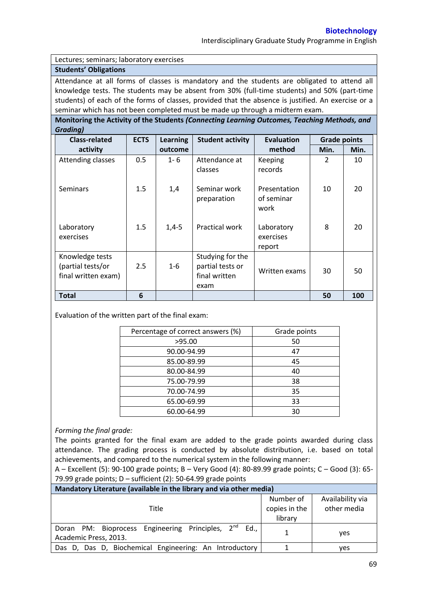Interdisciplinary Graduate Study Programme in English

#### Lectures; seminars; laboratory exercises

# **Students' Obligations**

Attendance at all forms of classes is mandatory and the students are obligated to attend all knowledge tests. The students may be absent from 30% (full-time students) and 50% (part-time students) of each of the forms of classes, provided that the absence is justified. An exercise or a seminar which has not been completed must be made up through a midterm exam.

**Monitoring the Activity of the Students** *(Connecting Learning Outcomes, Teaching Methods, and Grading)*

| <b>Class-related</b>                                        | <b>ECTS</b> | <b>Learning</b> | <b>Student activity</b>                                       | <b>Evaluation</b>                  | <b>Grade points</b> |      |
|-------------------------------------------------------------|-------------|-----------------|---------------------------------------------------------------|------------------------------------|---------------------|------|
| activity                                                    |             | outcome         |                                                               | method                             | Min.                | Min. |
| Attending classes                                           | 0.5         | $1 - 6$         | Attendance at<br>classes                                      | Keeping<br>records                 | $\overline{2}$      | 10   |
| <b>Seminars</b>                                             | 1.5         | 1,4             | Seminar work<br>preparation                                   | Presentation<br>of seminar<br>work | 10                  | 20   |
| Laboratory<br>exercises                                     | 1.5         | $1,4-5$         | Practical work                                                | Laboratory<br>exercises<br>report  | 8                   | 20   |
| Knowledge tests<br>(partial tests/or<br>final written exam) | 2.5         | $1 - 6$         | Studying for the<br>partial tests or<br>final written<br>exam | Written exams                      | 30                  | 50   |
| <b>Total</b>                                                | 6           |                 |                                                               |                                    | 50                  | 100  |

Evaluation of the written part of the final exam:

| Percentage of correct answers (%) | Grade points |  |
|-----------------------------------|--------------|--|
| >95.00                            | 50           |  |
| 90.00-94.99                       | 47           |  |
| 85.00-89.99                       | 45           |  |
| 80.00-84.99                       | 40           |  |
| 75.00-79.99                       | 38           |  |
| 70.00-74.99                       | 35           |  |
| 65.00-69.99                       | 33           |  |
| 60.00-64.99                       | 30           |  |

### *Forming the final grade:*

The points granted for the final exam are added to the grade points awarded during class attendance. The grading process is conducted by absolute distribution, i.e. based on total achievements, and compared to the numerical system in the following manner:

A – Excellent (5): 90-100 grade points; B – Very Good (4): 80-89.99 grade points; C – Good (3): 65- 79.99 grade points; D – sufficient (2): 50-64.99 grade points

| Mandatory Literature (available in the library and via other media)                        |                                       |                                 |  |  |  |  |
|--------------------------------------------------------------------------------------------|---------------------------------------|---------------------------------|--|--|--|--|
| Title                                                                                      | Number of<br>copies in the<br>library | Availability via<br>other media |  |  |  |  |
| Doran PM: Bioprocess Engineering Principles, 2 <sup>nd</sup> Ed.,<br>Academic Press, 2013. |                                       | ves                             |  |  |  |  |
| Das D, Das D, Biochemical Engineering: An Introductory                                     |                                       | ves                             |  |  |  |  |